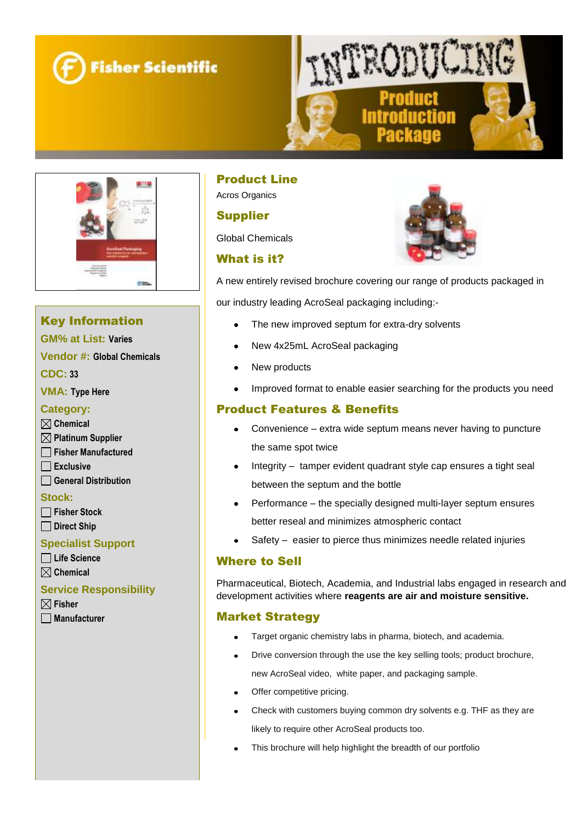





# Key Information

**GM% at List: Varies** 

**Vendor #: Global Chemicals**

**CDC: 33**

**VMA: Type Here**

#### **Category:**

#### **Chemical**

- **Platinum Supplier**
- **Fisher Manufactured**
- **Exclusive**
- **General Distribution**

#### **Stock:**

- **Fisher Stock**
- **Direct Ship**

#### **Specialist Support**

- **Life Science**
- **Chemical**

#### **Service Responsibility**

- **Fisher**
- **Manufacturer**

# Product Line

Acros Organics

### Supplier

Global Chemicals

## What is it?



A new entirely revised brochure covering our range of products packaged in

our industry leading AcroSeal packaging including:-

- The new improved septum for extra-dry solvents
- New 4x25mL AcroSeal packaging
- New products
- Improved format to enable easier searching for the products you need

## Product Features & Benefits

- Convenience extra wide septum means never having to puncture the same spot twice
- Integrity tamper evident quadrant style cap ensures a tight seal between the septum and the bottle
- Performance the specially designed multi-layer septum ensures better reseal and minimizes atmospheric contact
- Safety easier to pierce thus minimizes needle related injuries

### Where to Sell

Pharmaceutical, Biotech, Academia, and Industrial labs engaged in research and development activities where **reagents are air and moisture sensitive.**

### Market Strategy

- Target organic chemistry labs in pharma, biotech, and academia.
- Drive conversion through the use the key selling tools; product brochure, new AcroSeal video, white paper, and packaging sample.
- Offer competitive pricing.
- Check with customers buying common dry solvents e.g. THF as they are likely to require other AcroSeal products too.
- This brochure will help highlight the breadth of our portfolio